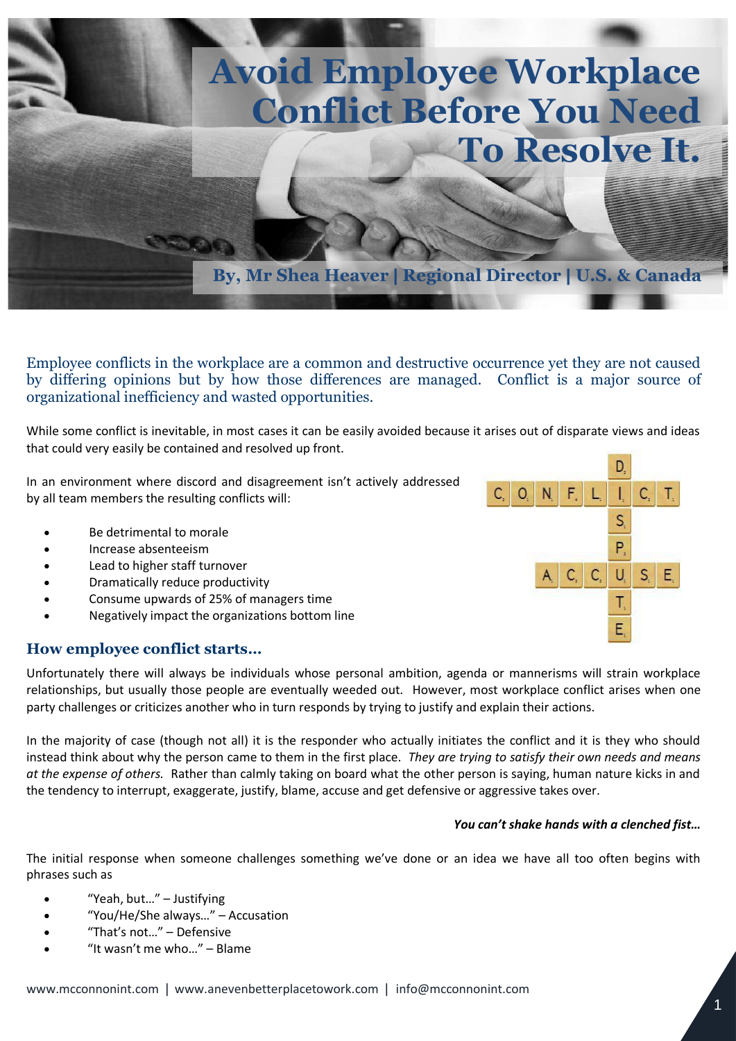

Employee conflicts in the workplace are a common and destructive occurrence yet they are not caused by differing opinions but by how those differences are managed. Conflict is a major source of organizational inefficiency and wasted opportunities.

While some conflict is inevitable, in most cases it can be easily avoided because it arises out of disparate views and ideas that could very easily be contained and resolved up front.

In an environment where discord and disagreement isn't actively addressed by all team members the resulting conflicts will:

- Be detrimental to morale
- Increase absenteeism
- Lead to higher staff turnover
- Dramatically reduce productivity
- Consume upwards of 25% of managers time
- Negatively impact the organizations bottom line

## **How employee conflict starts…**

Unfortunately there will always be individuals whose personal ambition, agenda or mannerisms will strain workplace relationships, but usually those people are eventually weeded out. However, most workplace conflict arises when one party challenges or criticizes another who in turn responds by trying to justify and explain their actions.

In the majority of case (though not all) it is the responder who actually initiates the conflict and it is they who should instead think about why the person came to them in the first place. *They are trying to satisfy their own needs and means at the expense of others.* Rather than calmly taking on board what the other person is saying, human nature kicks in and the tendency to interrupt, exaggerate, justify, blame, accuse and get defensive or aggressive takes over.

#### *You can't shake hands with a clenched fist…*

The initial response when someone challenges something we've done or an idea we have all too often begins with phrases such as

- "Yeah, but…" Justifying
- "You/He/She always…" Accusation
- "That's not…" Defensive
- "It wasn't me who…" Blame

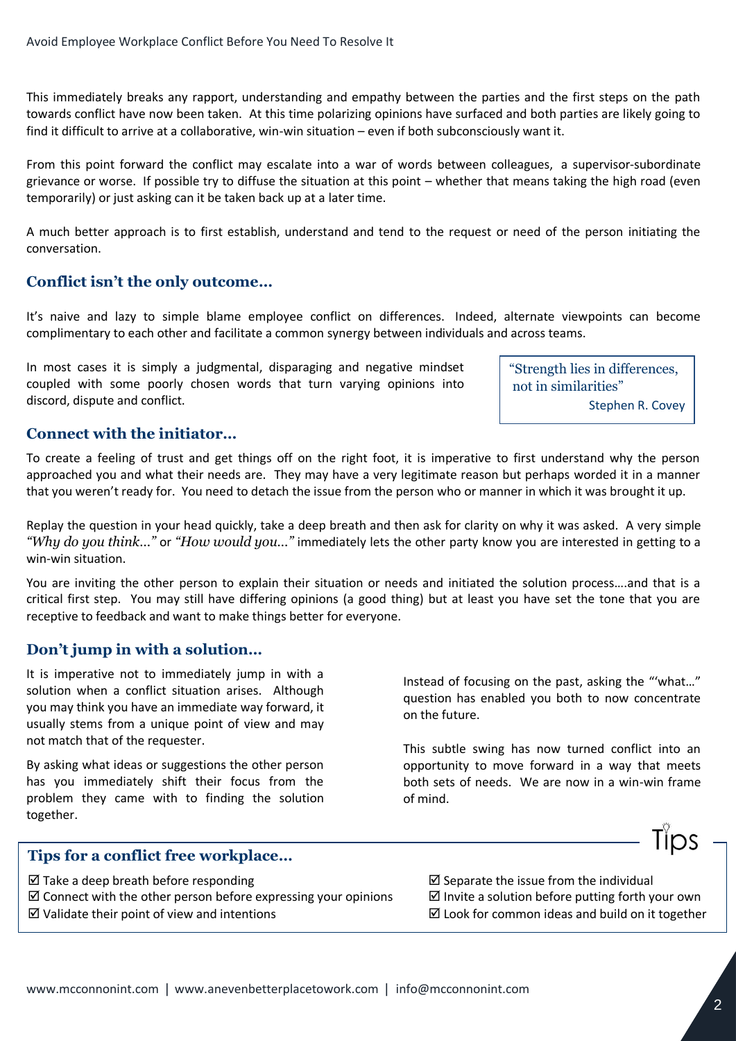This immediately breaks any rapport, understanding and empathy between the parties and the first steps on the path towards conflict have now been taken. At this time polarizing opinions have surfaced and both parties are likely going to find it difficult to arrive at a collaborative, win-win situation – even if both subconsciously want it.

From this point forward the conflict may escalate into a war of words between colleagues, a supervisor-subordinate grievance or worse. If possible try to diffuse the situation at this point – whether that means taking the high road (even temporarily) or just asking can it be taken back up at a later time.

A much better approach is to first establish, understand and tend to the request or need of the person initiating the conversation.

# **Conflict isn't the only outcome…**

It's naive and lazy to simple blame employee conflict on differences. Indeed, alternate viewpoints can become complimentary to each other and facilitate a common synergy between individuals and across teams.

In most cases it is simply a judgmental, disparaging and negative mindset coupled with some poorly chosen words that turn varying opinions into discord, dispute and conflict.

"Strength lies in differences, not in similarities" Stephen R. Covey

## **Connect with the initiator…**

To create a feeling of trust and get things off on the right foot, it is imperative to first understand why the person approached you and what their needs are. They may have a very legitimate reason but perhaps worded it in a manner that you weren't ready for. You need to detach the issue from the person who or manner in which it was brought it up.

Replay the question in your head quickly, take a deep breath and then ask for clarity on why it was asked. A very simple *"Why do you think…"* or *"How would you…"* immediately lets the other party know you are interested in getting to a win-win situation.

You are inviting the other person to explain their situation or needs and initiated the solution process….and that is a critical first step. You may still have differing opinions (a good thing) but at least you have set the tone that you are receptive to feedback and want to make things better for everyone.

## **Don't jump in with a solution…**

It is imperative not to immediately jump in with a solution when a conflict situation arises. Although you may think you have an immediate way forward, it usually stems from a unique point of view and may not match that of the requester.

By asking what ideas or suggestions the other person has you immediately shift their focus from the problem they came with to finding the solution together.

Instead of focusing on the past, asking the "'what…" question has enabled you both to now concentrate on the future.

This subtle swing has now turned conflict into an opportunity to move forward in a way that meets both sets of needs. We are now in a win-win frame of mind.

## **Tips for a conflict free workplace…**

- $\boxtimes$  Take a deep breath before responding  $\boxtimes$  Separate the issue from the individual
- $\boxtimes$  Connect with the other person before expressing your opinions  $\boxtimes$  Invite a solution before putting forth your own
- 

 $\boxtimes$  Validate their point of view and intentions  $\boxtimes$  Look for common ideas and build on it together

Tips